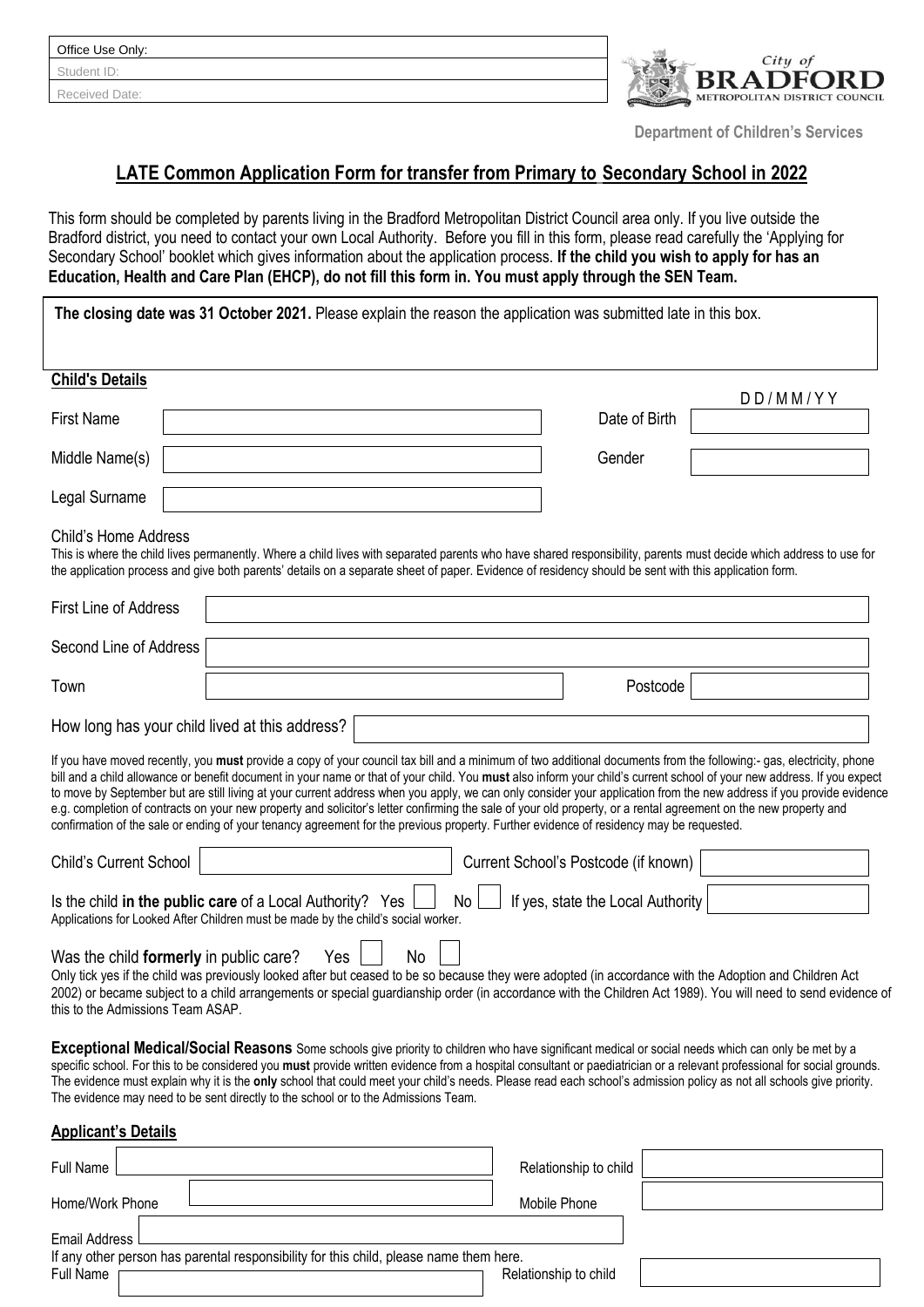Received Date:



 **Department of Children's Services**

# **LATE Common Application Form for transfer from Primary to Secondary School in 2022**

This form should be completed by parents living in the Bradford Metropolitan District Council area only. If you live outside the Bradford district, you need to contact your own Local Authority. Before you fill in this form, please read carefully the 'Applying for Secondary School' booklet which gives information about the application process. **If the child you wish to apply for has an Education, Health and Care Plan (EHCP), do not fill this form in. You must apply through the SEN Team.**

| The closing date was 31 October 2021. Please explain the reason the application was submitted late in this box.                                                                                                                                                                                                                                                                                                                                                                                                                                                                                                                                                                                                                                                                                                                      |                                              |  |  |  |  |  |  |
|--------------------------------------------------------------------------------------------------------------------------------------------------------------------------------------------------------------------------------------------------------------------------------------------------------------------------------------------------------------------------------------------------------------------------------------------------------------------------------------------------------------------------------------------------------------------------------------------------------------------------------------------------------------------------------------------------------------------------------------------------------------------------------------------------------------------------------------|----------------------------------------------|--|--|--|--|--|--|
| <b>Child's Details</b>                                                                                                                                                                                                                                                                                                                                                                                                                                                                                                                                                                                                                                                                                                                                                                                                               |                                              |  |  |  |  |  |  |
| <b>First Name</b>                                                                                                                                                                                                                                                                                                                                                                                                                                                                                                                                                                                                                                                                                                                                                                                                                    | $D$ $D$ / $M$ $M$ / $Y$ $Y$<br>Date of Birth |  |  |  |  |  |  |
| Middle Name(s)                                                                                                                                                                                                                                                                                                                                                                                                                                                                                                                                                                                                                                                                                                                                                                                                                       | Gender                                       |  |  |  |  |  |  |
| Legal Surname                                                                                                                                                                                                                                                                                                                                                                                                                                                                                                                                                                                                                                                                                                                                                                                                                        |                                              |  |  |  |  |  |  |
| <b>Child's Home Address</b><br>This is where the child lives permanently. Where a child lives with separated parents who have shared responsibility, parents must decide which address to use for<br>the application process and give both parents' details on a separate sheet of paper. Evidence of residency should be sent with this application form.                                                                                                                                                                                                                                                                                                                                                                                                                                                                           |                                              |  |  |  |  |  |  |
| <b>First Line of Address</b>                                                                                                                                                                                                                                                                                                                                                                                                                                                                                                                                                                                                                                                                                                                                                                                                         |                                              |  |  |  |  |  |  |
| Second Line of Address                                                                                                                                                                                                                                                                                                                                                                                                                                                                                                                                                                                                                                                                                                                                                                                                               |                                              |  |  |  |  |  |  |
| Town                                                                                                                                                                                                                                                                                                                                                                                                                                                                                                                                                                                                                                                                                                                                                                                                                                 | Postcode                                     |  |  |  |  |  |  |
| How long has your child lived at this address?                                                                                                                                                                                                                                                                                                                                                                                                                                                                                                                                                                                                                                                                                                                                                                                       |                                              |  |  |  |  |  |  |
| If you have moved recently, you must provide a copy of your council tax bill and a minimum of two additional documents from the following:- gas, electricity, phone<br>bill and a child allowance or benefit document in your name or that of your child. You must also inform your child's current school of your new address. If you expect<br>to move by September but are still living at your current address when you apply, we can only consider your application from the new address if you provide evidence<br>e.g. completion of contracts on your new property and solicitor's letter confirming the sale of your old property, or a rental agreement on the new property and<br>confirmation of the sale or ending of your tenancy agreement for the previous property. Further evidence of residency may be requested. |                                              |  |  |  |  |  |  |
| <b>Child's Current School</b><br>Current School's Postcode (if known)                                                                                                                                                                                                                                                                                                                                                                                                                                                                                                                                                                                                                                                                                                                                                                |                                              |  |  |  |  |  |  |
| If yes, state the Local Authority<br>Is the child in the public care of a Local Authority? Yes<br>No l<br>Applications for Looked After Children must be made by the child's social worker.                                                                                                                                                                                                                                                                                                                                                                                                                                                                                                                                                                                                                                          |                                              |  |  |  |  |  |  |
| No<br>Yes<br>Was the child formerly in public care?<br>Only tick yes if the child was previously looked after but ceased to be so because they were adopted (in accordance with the Adoption and Children Act<br>2002) or became subject to a child arrangements or special guardianship order (in accordance with the Children Act 1989). You will need to send evidence of<br>this to the Admissions Team ASAP.                                                                                                                                                                                                                                                                                                                                                                                                                    |                                              |  |  |  |  |  |  |
| Exceptional Medical/Social Reasons Some schools give priority to children who have significant medical or social needs which can only be met by a<br>specific school. For this to be considered you must provide written evidence from a hospital consultant or paediatrician or a relevant professional for social grounds.<br>The evidence must explain why it is the only school that could meet your child's needs. Please read each school's admission policy as not all schools give priority.<br>The evidence may need to be sent directly to the school or to the Admissions Team.                                                                                                                                                                                                                                           |                                              |  |  |  |  |  |  |
| <b>Applicant's Details</b>                                                                                                                                                                                                                                                                                                                                                                                                                                                                                                                                                                                                                                                                                                                                                                                                           |                                              |  |  |  |  |  |  |

Full Name **Relationship to child Full Name** Relationship to child Home/Work Phone Mobile Phone Email Address If any other person has parental responsibility for this child, please name them here. Full Name The Commission of the Commission of the Relationship to child